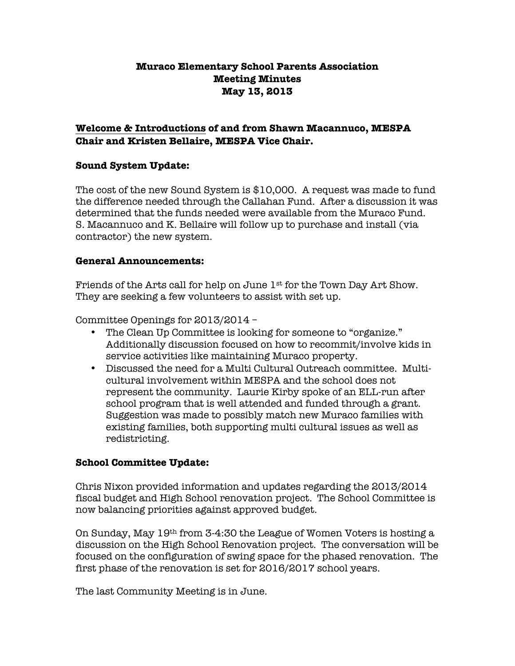# **Muraco Elementary School Parents Association Meeting Minutes May 13, 2013**

# **Welcome & Introductions of and from Shawn Macannuco, MESPA Chair and Kristen Bellaire, MESPA Vice Chair.**

# **Sound System Update:**

The cost of the new Sound System is \$10,000. A request was made to fund the difference needed through the Callahan Fund. After a discussion it was determined that the funds needed were available from the Muraco Fund. S. Macannuco and K. Bellaire will follow up to purchase and install (via contractor) the new system.

## **General Announcements:**

Friends of the Arts call for help on June 1st for the Town Day Art Show. They are seeking a few volunteers to assist with set up.

Committee Openings for 2013/2014 –

- The Clean Up Committee is looking for someone to "organize." Additionally discussion focused on how to recommit/involve kids in service activities like maintaining Muraco property.
- Discussed the need for a Multi Cultural Outreach committee. Multicultural involvement within MESPA and the school does not represent the community. Laurie Kirby spoke of an ELL-run after school program that is well attended and funded through a grant. Suggestion was made to possibly match new Muraco families with existing families, both supporting multi cultural issues as well as redistricting.

# **School Committee Update:**

Chris Nixon provided information and updates regarding the 2013/2014 fiscal budget and High School renovation project. The School Committee is now balancing priorities against approved budget.

On Sunday, May 19th from 3-4:30 the League of Women Voters is hosting a discussion on the High School Renovation project. The conversation will be focused on the configuration of swing space for the phased renovation. The first phase of the renovation is set for 2016/2017 school years.

The last Community Meeting is in June.